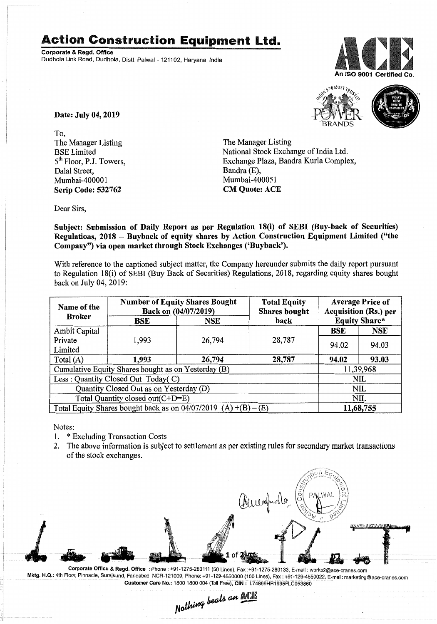## **Action Construction Equipment Ltd.**

Corporate & Regd. Office Dudhola Link Road, Dudhola, Distt. Palwal - 121102, Haryana, India





Date: July 04, 2019

To, The Manager Listing BSE Limited 5<sup>th</sup> Floor, P.J. Towers, Dalal Street, Mumbai-400001 Scrip Code: 532762

The Manager Listing National Stock Exchange of India Ltd. Exchange Plaza, Bandra Kurla Complex, Bandra (E), Mumbai-4000S1 CM Quote: ACE

Dear Sirs,

Subject: Submission of Daily Report as per Regulation 18(i) of SEBI (Buy-back of Securities) Regulations, 2018 - Buyback of equity shares by Action Construction Equipment Limited ("the Company") via open market through Stock Exchanges ('Buyback').

With reference to the captioned subject matter, the Company hereunder submits the daily report pursuant to Regulation 18(i) of SEBl (Buy Back of Securities) Regulations, 2018, regarding equity shares bought back on July 04, 2019:

| Name of the<br><b>Broker</b>                                      | <b>Number of Equity Shares Bought</b><br>Back on (04/07/2019) |            | <b>Total Equity</b><br><b>Shares bought</b> | <b>Average Price of</b><br>Acquisition (Rs.) per |            |  |
|-------------------------------------------------------------------|---------------------------------------------------------------|------------|---------------------------------------------|--------------------------------------------------|------------|--|
|                                                                   | BSE                                                           | <b>NSE</b> | back                                        | <b>Equity Share*</b>                             |            |  |
| Ambit Capital                                                     |                                                               |            |                                             | <b>BSE</b>                                       | <b>NSE</b> |  |
| Private                                                           | 1,993                                                         | 26,794     | 28,787                                      | 94.02                                            | 94.03      |  |
| Limited                                                           |                                                               |            |                                             |                                                  |            |  |
| Total $(A)$                                                       | 1,993                                                         | 26,794     | 28,787                                      | 94.02                                            | 93.03      |  |
| Cumulative Equity Shares bought as on Yesterday (B)               |                                                               |            |                                             |                                                  | 11,39,968  |  |
| Less: Quantity Closed Out Today(C)                                |                                                               |            |                                             | NIL                                              |            |  |
| Quantity Closed Out as on Yesterday (D)                           |                                                               |            |                                             | NIL                                              |            |  |
| Total Quantity closed out(C+D=E)                                  |                                                               |            |                                             |                                                  | NIL        |  |
| Total Equity Shares bought back as on $04/07/2019$ (A) +(B) – (E) |                                                               |            |                                             | 11,68,755                                        |            |  |

Notes:

- 1. \* Excluding Transaction Costs
- 2. The above information is subject to settlement as per existing rules for secondary market transactions of the stock exchanges.



Mktg. H.Q.: 4th Floor, Pinnacle, Surajkund, Faridabad, NCR-121009, Phone: +91-129-4550000 (100 Lines), Fax: +91-129-4550022, E-mail: marketing@ace-cranes.com Customer Care No.: 1800 1800 004 (Toll Free), CIN: L74899HR1995PLC053860

 $_{backs}$  an  $\mathbb{ALI}$ Nathing bears are  $=$